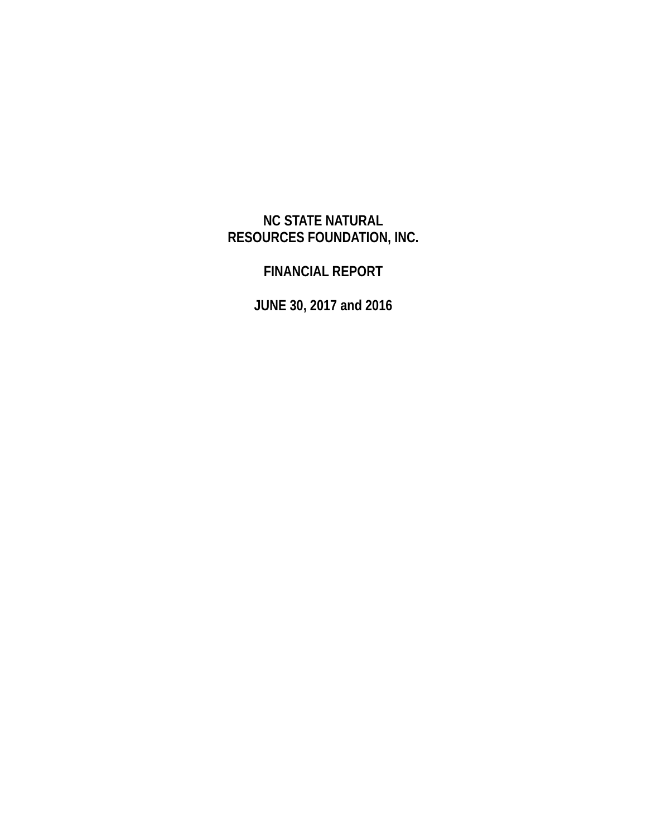# **NC STATE NATURAL RESOURCES FOUNDATION, INC.**

# **FINANCIAL REPORT**

**JUNE 30, 2017 and 2016**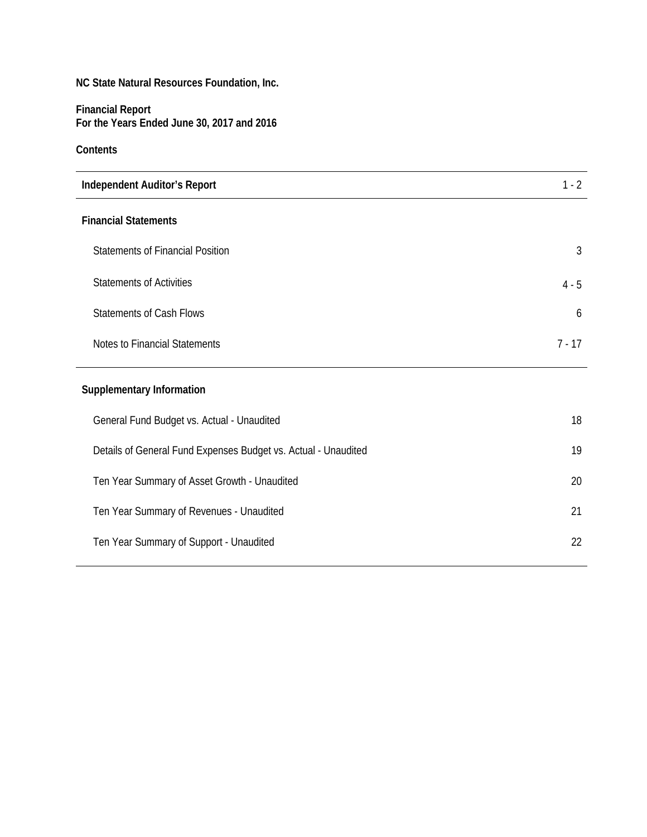**Financial Report For the Years Ended June 30, 2017 and 2016** 

## **Contents**

| <b>Independent Auditor's Report</b>                            | $1 - 2$  |  |  |  |  |  |
|----------------------------------------------------------------|----------|--|--|--|--|--|
| <b>Financial Statements</b>                                    |          |  |  |  |  |  |
| <b>Statements of Financial Position</b>                        | 3        |  |  |  |  |  |
| <b>Statements of Activities</b>                                | $4 - 5$  |  |  |  |  |  |
| <b>Statements of Cash Flows</b>                                | 6        |  |  |  |  |  |
| Notes to Financial Statements                                  | $7 - 17$ |  |  |  |  |  |
| Supplementary Information                                      |          |  |  |  |  |  |
| General Fund Budget vs. Actual - Unaudited                     | 18       |  |  |  |  |  |
| Details of General Fund Expenses Budget vs. Actual - Unaudited | 19       |  |  |  |  |  |
| Ten Year Summary of Asset Growth - Unaudited                   | 20       |  |  |  |  |  |
| Ten Year Summary of Revenues - Unaudited                       | 21       |  |  |  |  |  |
| Ten Year Summary of Support - Unaudited                        | 22       |  |  |  |  |  |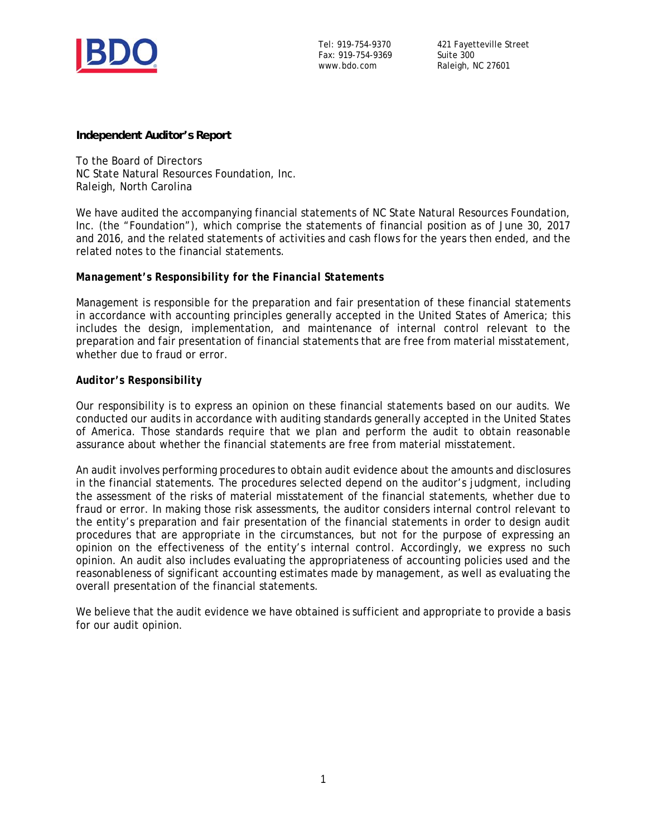

421 Fayetteville Street Suite 300 Raleigh, NC 27601

#### **Independent Auditor's Report**

To the Board of Directors NC State Natural Resources Foundation, Inc. Raleigh, North Carolina

We have audited the accompanying financial statements of NC State Natural Resources Foundation, Inc. (the "Foundation"), which comprise the statements of financial position as of June 30, 2017 and 2016, and the related statements of activities and cash flows for the years then ended, and the related notes to the financial statements.

### *Management's Responsibility for the Financial Statements*

Management is responsible for the preparation and fair presentation of these financial statements in accordance with accounting principles generally accepted in the United States of America; this includes the design, implementation, and maintenance of internal control relevant to the preparation and fair presentation of financial statements that are free from material misstatement, whether due to fraud or error.

### *Auditor's Responsibility*

Our responsibility is to express an opinion on these financial statements based on our audits. We conducted our audits in accordance with auditing standards generally accepted in the United States of America. Those standards require that we plan and perform the audit to obtain reasonable assurance about whether the financial statements are free from material misstatement.

An audit involves performing procedures to obtain audit evidence about the amounts and disclosures in the financial statements. The procedures selected depend on the auditor's judgment, including the assessment of the risks of material misstatement of the financial statements, whether due to fraud or error. In making those risk assessments, the auditor considers internal control relevant to the entity's preparation and fair presentation of the financial statements in order to design audit procedures that are appropriate in the circumstances, but not for the purpose of expressing an opinion on the effectiveness of the entity's internal control. Accordingly, we express no such opinion. An audit also includes evaluating the appropriateness of accounting policies used and the reasonableness of significant accounting estimates made by management, as well as evaluating the overall presentation of the financial statements.

We believe that the audit evidence we have obtained is sufficient and appropriate to provide a basis for our audit opinion.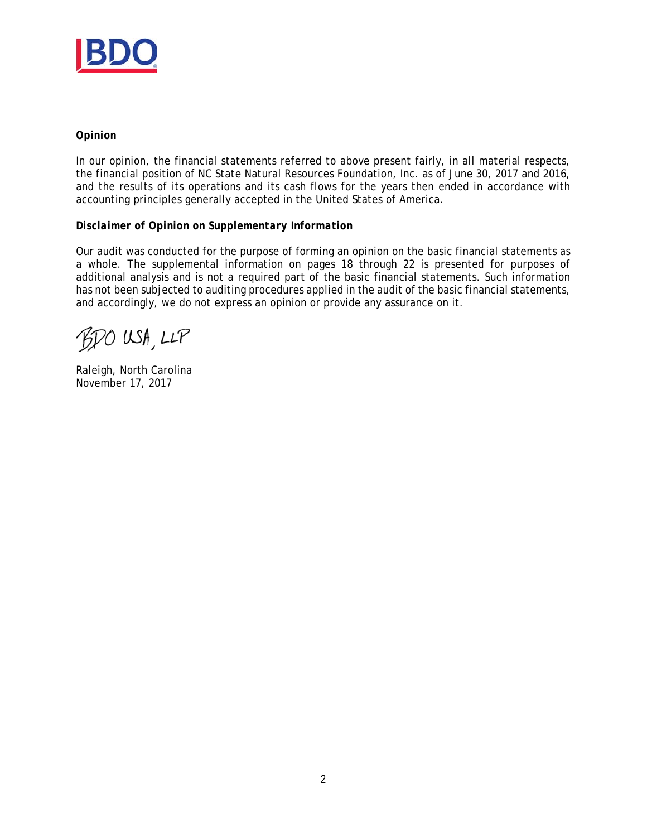

#### *Opinion*

In our opinion, the financial statements referred to above present fairly, in all material respects, the financial position of NC State Natural Resources Foundation, Inc. as of June 30, 2017 and 2016, and the results of its operations and its cash flows for the years then ended in accordance with accounting principles generally accepted in the United States of America.

#### *Disclaimer of Opinion on Supplementary Information*

Our audit was conducted for the purpose of forming an opinion on the basic financial statements as a whole. The supplemental information on pages 18 through 22 is presented for purposes of additional analysis and is not a required part of the basic financial statements. Such information has not been subjected to auditing procedures applied in the audit of the basic financial statements, and accordingly, we do not express an opinion or provide any assurance on it.

BDO USA, LLP

Raleigh, North Carolina November 17, 2017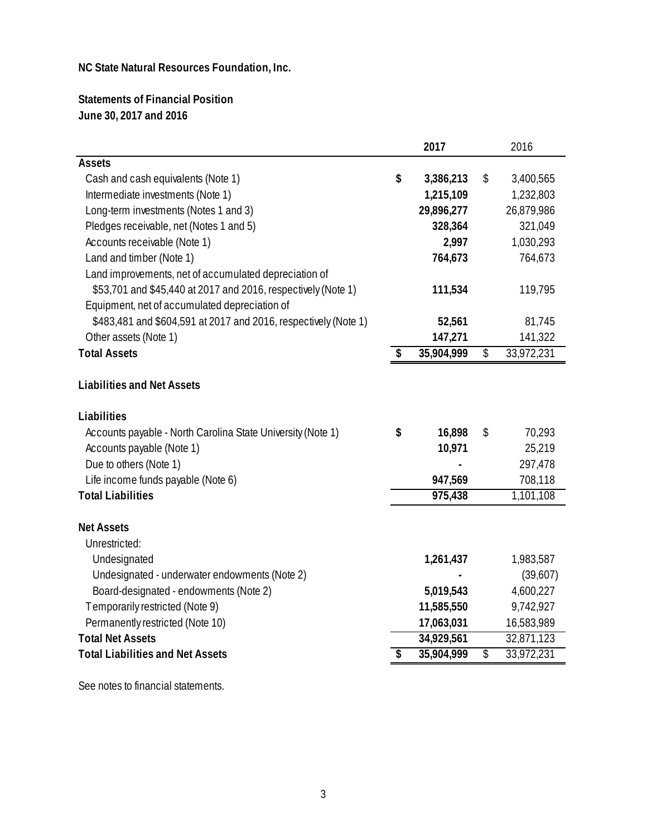**Statements of Financial Position June 30, 2017 and 2016**

|                                                                 |                                      | 2017       |                          | 2016               |
|-----------------------------------------------------------------|--------------------------------------|------------|--------------------------|--------------------|
| <b>Assets</b>                                                   |                                      |            |                          |                    |
| Cash and cash equivalents (Note 1)                              | \$                                   | 3,386,213  | \$                       | 3,400,565          |
| Intermediate investments (Note 1)                               |                                      | 1,215,109  |                          | 1,232,803          |
| Long-term investments (Notes 1 and 3)                           |                                      | 29,896,277 |                          | 26,879,986         |
| Pledges receivable, net (Notes 1 and 5)                         |                                      | 328,364    |                          | 321,049            |
| Accounts receivable (Note 1)                                    |                                      | 2,997      |                          | 1,030,293          |
| Land and timber (Note 1)                                        |                                      | 764,673    |                          | 764,673            |
| Land improvements, net of accumulated depreciation of           |                                      |            |                          |                    |
| \$53,701 and \$45,440 at 2017 and 2016, respectively (Note 1)   |                                      | 111,534    |                          | 119,795            |
| Equipment, net of accumulated depreciation of                   |                                      |            |                          |                    |
| \$483,481 and \$604,591 at 2017 and 2016, respectively (Note 1) |                                      | 52,561     |                          | 81,745             |
| Other assets (Note 1)                                           |                                      | 147,271    |                          | 141,322            |
| <b>Total Assets</b>                                             | \$                                   | 35,904,999 | $\overline{\mathcal{E}}$ | 33,972,231         |
| <b>Liabilities and Net Assets</b>                               |                                      |            |                          |                    |
| Liabilities                                                     |                                      |            |                          |                    |
| Accounts payable - North Carolina State University (Note 1)     | \$                                   | 16,898     | \$                       | 70,293             |
| Accounts payable (Note 1)                                       |                                      | 10,971     |                          | 25,219             |
| Due to others (Note 1)                                          |                                      | 947,569    |                          | 297,478<br>708,118 |
| Life income funds payable (Note 6)<br><b>Total Liabilities</b>  |                                      | 975,438    |                          | 1,101,108          |
|                                                                 |                                      |            |                          |                    |
| <b>Net Assets</b>                                               |                                      |            |                          |                    |
| Unrestricted:                                                   |                                      |            |                          |                    |
| Undesignated                                                    |                                      | 1,261,437  |                          | 1,983,587          |
| Undesignated - underwater endowments (Note 2)                   |                                      |            |                          | (39,607)           |
| Board-designated - endowments (Note 2)                          |                                      | 5,019,543  |                          | 4,600,227          |
| Temporarily restricted (Note 9)                                 |                                      | 11,585,550 |                          | 9,742,927          |
| Permanently restricted (Note 10)                                |                                      | 17,063,031 |                          | 16,583,989         |
| <b>Total Net Assets</b>                                         |                                      | 34,929,561 |                          | 32,871,123         |
| <b>Total Liabilities and Net Assets</b>                         | $\overline{\boldsymbol{\mathsf{s}}}$ | 35,904,999 | $\overline{\mathcal{E}}$ | 33,972,231         |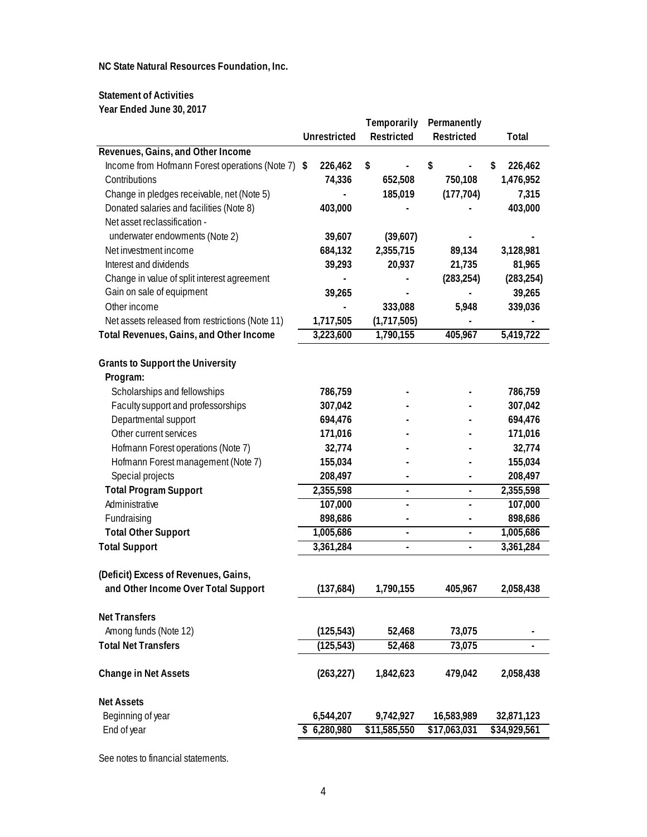## **Statement of Activities**

**Year Ended June 30, 2017**

|                                                                             |                     | Temporarily              | Permanently          |                              |
|-----------------------------------------------------------------------------|---------------------|--------------------------|----------------------|------------------------------|
|                                                                             | <b>Unrestricted</b> | Restricted               | <b>Restricted</b>    | Total                        |
| Revenues, Gains, and Other Income                                           |                     |                          |                      |                              |
| Income from Hofmann Forest operations (Note 7) \$                           | 226,462             | \$<br>ä,                 | \$<br>$\blacksquare$ | 226,462<br>\$                |
| Contributions                                                               | 74,336              | 652,508                  | 750,108              | 1,476,952                    |
| Change in pledges receivable, net (Note 5)                                  |                     | 185,019                  | (177, 704)           | 7,315                        |
| Donated salaries and facilities (Note 8)                                    | 403,000             |                          |                      | 403,000                      |
| Net asset reclassification -                                                |                     |                          |                      |                              |
| underwater endowments (Note 2)                                              | 39,607              | (39,607)                 |                      |                              |
| Net investment income                                                       | 684,132             | 2,355,715                | 89,134               | 3,128,981                    |
| Interest and dividends                                                      | 39,293              | 20,937                   | 21,735               | 81,965                       |
| Change in value of split interest agreement                                 |                     |                          | (283, 254)           | (283, 254)                   |
| Gain on sale of equipment                                                   | 39,265              |                          |                      | 39,265                       |
| Other income                                                                |                     | 333,088                  | 5,948                | 339,036                      |
| Net assets released from restrictions (Note 11)                             | 1,717,505           | (1,717,505)              |                      |                              |
| Total Revenues, Gains, and Other Income                                     | 3,223,600           | 1,790,155                | 405,967              | 5,419,722                    |
| <b>Grants to Support the University</b><br>Program:                         |                     |                          |                      |                              |
| Scholarships and fellowships                                                | 786,759             |                          |                      | 786,759                      |
| Faculty support and professorships                                          | 307,042             |                          |                      | 307,042                      |
| Departmental support                                                        | 694,476             |                          |                      | 694,476                      |
| Other current services                                                      | 171,016             |                          |                      | 171,016                      |
| Hofmann Forest operations (Note 7)                                          | 32,774              |                          |                      | 32,774                       |
| Hofmann Forest management (Note 7)                                          | 155,034             |                          |                      | 155,034                      |
| Special projects                                                            | 208,497             |                          |                      | 208,497                      |
| <b>Total Program Support</b>                                                | 2,355,598           | ÷,                       | ÷,                   | 2,355,598                    |
| Administrative                                                              | 107,000             | ÷,                       |                      | 107,000                      |
| Fundraising                                                                 | 898,686             | -                        |                      | 898,686                      |
| <b>Total Other Support</b>                                                  | 1,005,686           | $\overline{\phantom{a}}$ | $\blacksquare$       | 1,005,686                    |
| <b>Total Support</b>                                                        | 3,361,284           | ä,                       | ÷.                   | 3,361,284                    |
| (Deficit) Excess of Revenues, Gains,<br>and Other Income Over Total Support | (137, 684)          | 1,790,155                | 405,967              | 2,058,438                    |
|                                                                             |                     |                          |                      |                              |
| <b>Net Transfers</b>                                                        |                     |                          |                      |                              |
| Among funds (Note 12)                                                       | (125, 543)          | 52,468                   | 73,075               |                              |
| <b>Total Net Transfers</b>                                                  | (125, 543)          | 52,468                   | 73,075               | $\qquad \qquad \blacksquare$ |
| <b>Change in Net Assets</b>                                                 | (263, 227)          | 1,842,623                | 479,042              | 2,058,438                    |
| <b>Net Assets</b>                                                           |                     |                          |                      |                              |
| Beginning of year                                                           | 6,544,207           | 9,742,927                | 16,583,989           | 32,871,123                   |
| End of year                                                                 | \$6,280,980         | \$11,585,550             | \$17,063,031         | \$34,929,561                 |
|                                                                             |                     |                          |                      |                              |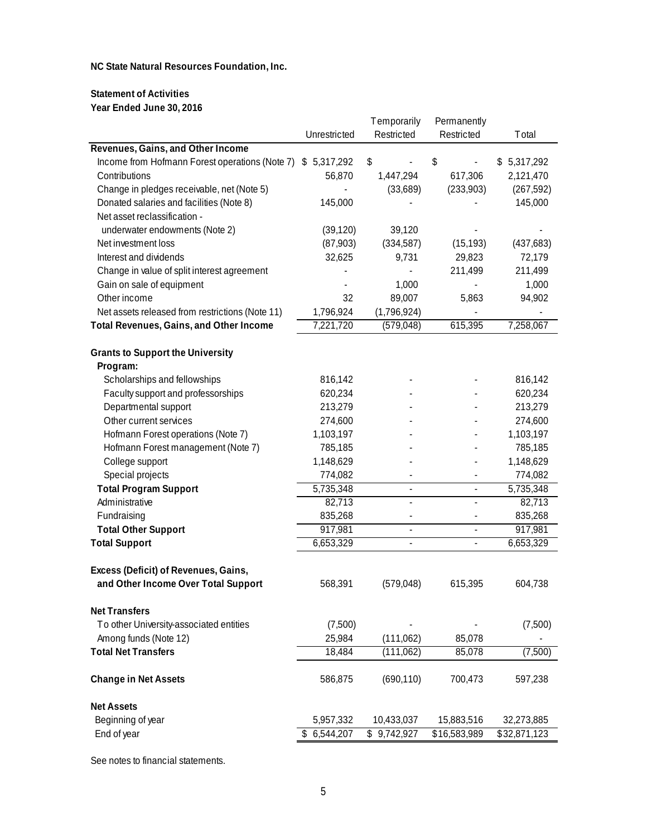# **Statement of Activities**

**Year Ended June 30, 2016**

| Unrestricted<br>Restricted<br>Restricted<br>Total<br>Revenues, Gains, and Other Income<br>Income from Hofmann Forest operations (Note 7)<br>\$5,317,292<br>\$<br>\$<br>Contributions<br>617,306<br>56,870<br>1,447,294<br>Change in pledges receivable, net (Note 5)<br>(233,903)<br>(33,689)<br>Donated salaries and facilities (Note 8)<br>145,000<br>145,000<br>Net asset reclassification -<br>underwater endowments (Note 2)<br>(39, 120)<br>39,120<br>Net investment loss<br>(87,903)<br>(334, 587)<br>(15, 193)<br>Interest and dividends<br>29,823<br>32,625<br>9,731 |                                             | Temporarily | Permanently |             |
|-------------------------------------------------------------------------------------------------------------------------------------------------------------------------------------------------------------------------------------------------------------------------------------------------------------------------------------------------------------------------------------------------------------------------------------------------------------------------------------------------------------------------------------------------------------------------------|---------------------------------------------|-------------|-------------|-------------|
|                                                                                                                                                                                                                                                                                                                                                                                                                                                                                                                                                                               |                                             |             |             |             |
|                                                                                                                                                                                                                                                                                                                                                                                                                                                                                                                                                                               |                                             |             |             |             |
|                                                                                                                                                                                                                                                                                                                                                                                                                                                                                                                                                                               |                                             |             |             | \$5,317,292 |
|                                                                                                                                                                                                                                                                                                                                                                                                                                                                                                                                                                               |                                             |             |             | 2,121,470   |
|                                                                                                                                                                                                                                                                                                                                                                                                                                                                                                                                                                               |                                             |             |             | (267, 592)  |
|                                                                                                                                                                                                                                                                                                                                                                                                                                                                                                                                                                               |                                             |             |             |             |
|                                                                                                                                                                                                                                                                                                                                                                                                                                                                                                                                                                               |                                             |             |             |             |
|                                                                                                                                                                                                                                                                                                                                                                                                                                                                                                                                                                               |                                             |             |             |             |
|                                                                                                                                                                                                                                                                                                                                                                                                                                                                                                                                                                               |                                             |             |             | (437, 683)  |
|                                                                                                                                                                                                                                                                                                                                                                                                                                                                                                                                                                               |                                             |             |             | 72,179      |
|                                                                                                                                                                                                                                                                                                                                                                                                                                                                                                                                                                               | Change in value of split interest agreement |             | 211,499     | 211,499     |
| Gain on sale of equipment<br>1,000                                                                                                                                                                                                                                                                                                                                                                                                                                                                                                                                            |                                             |             |             | 1,000       |
| Other income<br>32<br>89,007<br>5,863                                                                                                                                                                                                                                                                                                                                                                                                                                                                                                                                         |                                             |             |             | 94,902      |
| Net assets released from restrictions (Note 11)<br>1,796,924<br>(1,796,924)                                                                                                                                                                                                                                                                                                                                                                                                                                                                                                   |                                             |             |             |             |
| (579, 048)<br>615,395<br>7,258,067<br>Total Revenues, Gains, and Other Income<br>7,221,720                                                                                                                                                                                                                                                                                                                                                                                                                                                                                    |                                             |             |             |             |
| <b>Grants to Support the University</b>                                                                                                                                                                                                                                                                                                                                                                                                                                                                                                                                       |                                             |             |             |             |
| Program:                                                                                                                                                                                                                                                                                                                                                                                                                                                                                                                                                                      |                                             |             |             |             |
| Scholarships and fellowships<br>816,142                                                                                                                                                                                                                                                                                                                                                                                                                                                                                                                                       |                                             |             |             | 816,142     |
| Faculty support and professorships<br>620,234                                                                                                                                                                                                                                                                                                                                                                                                                                                                                                                                 |                                             |             |             | 620,234     |
| Departmental support<br>213,279                                                                                                                                                                                                                                                                                                                                                                                                                                                                                                                                               |                                             |             |             | 213,279     |
| Other current services<br>274,600<br>274,600                                                                                                                                                                                                                                                                                                                                                                                                                                                                                                                                  |                                             |             |             |             |
| Hofmann Forest operations (Note 7)<br>1,103,197<br>1,103,197                                                                                                                                                                                                                                                                                                                                                                                                                                                                                                                  |                                             |             |             |             |
| Hofmann Forest management (Note 7)<br>785,185<br>785,185                                                                                                                                                                                                                                                                                                                                                                                                                                                                                                                      |                                             |             |             |             |
| College support<br>1,148,629<br>1,148,629                                                                                                                                                                                                                                                                                                                                                                                                                                                                                                                                     |                                             |             |             |             |
| Special projects<br>774,082                                                                                                                                                                                                                                                                                                                                                                                                                                                                                                                                                   |                                             |             |             | 774,082     |
| <b>Total Program Support</b><br>5,735,348<br>5,735,348<br>$\overline{\phantom{a}}$<br>$\overline{\phantom{a}}$                                                                                                                                                                                                                                                                                                                                                                                                                                                                |                                             |             |             |             |
| 82,713<br>Administrative<br>82,713                                                                                                                                                                                                                                                                                                                                                                                                                                                                                                                                            |                                             |             |             |             |
| 835,268<br>835,268<br>Fundraising                                                                                                                                                                                                                                                                                                                                                                                                                                                                                                                                             |                                             |             |             |             |
| <b>Total Other Support</b><br>917,981<br>917,981<br>$\overline{\phantom{a}}$                                                                                                                                                                                                                                                                                                                                                                                                                                                                                                  |                                             |             |             |             |
| <b>Total Support</b><br>6,653,329<br>6,653,329<br>$\overline{\phantom{a}}$<br>$\blacksquare$                                                                                                                                                                                                                                                                                                                                                                                                                                                                                  |                                             |             |             |             |
| Excess (Deficit) of Revenues, Gains,                                                                                                                                                                                                                                                                                                                                                                                                                                                                                                                                          |                                             |             |             |             |
| and Other Income Over Total Support<br>568,391<br>(579, 048)<br>615,395<br>604,738                                                                                                                                                                                                                                                                                                                                                                                                                                                                                            |                                             |             |             |             |
|                                                                                                                                                                                                                                                                                                                                                                                                                                                                                                                                                                               |                                             |             |             |             |
| <b>Net Transfers</b>                                                                                                                                                                                                                                                                                                                                                                                                                                                                                                                                                          |                                             |             |             |             |
| To other University-associated entities<br>(7,500)                                                                                                                                                                                                                                                                                                                                                                                                                                                                                                                            |                                             |             |             | (7,500)     |
| (111, 062)<br>Among funds (Note 12)<br>25,984<br>85,078                                                                                                                                                                                                                                                                                                                                                                                                                                                                                                                       |                                             |             |             |             |
| <b>Total Net Transfers</b><br>18,484<br>85,078<br>(111, 062)                                                                                                                                                                                                                                                                                                                                                                                                                                                                                                                  |                                             |             |             | (7,500)     |
| (690, 110)<br>700,473<br><b>Change in Net Assets</b><br>586,875<br>597,238                                                                                                                                                                                                                                                                                                                                                                                                                                                                                                    |                                             |             |             |             |
| <b>Net Assets</b>                                                                                                                                                                                                                                                                                                                                                                                                                                                                                                                                                             |                                             |             |             |             |
| Beginning of year<br>5,957,332<br>10,433,037<br>15,883,516<br>32,273,885                                                                                                                                                                                                                                                                                                                                                                                                                                                                                                      |                                             |             |             |             |
| \$9,742,927<br>End of year<br>\$6,544,207<br>\$16,583,989<br>$\overline{$32,871,123}$                                                                                                                                                                                                                                                                                                                                                                                                                                                                                         |                                             |             |             |             |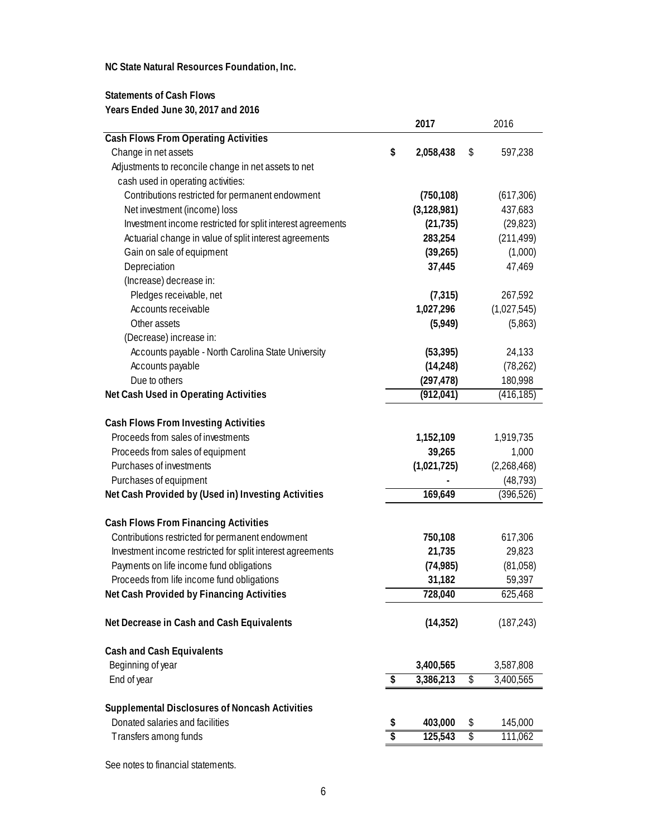**Statements of Cash Flows Years Ended June 30, 2017 and 2016**

|                                                            | 2017            | 2016            |
|------------------------------------------------------------|-----------------|-----------------|
| <b>Cash Flows From Operating Activities</b>                |                 |                 |
| Change in net assets                                       | \$<br>2,058,438 | \$<br>597,238   |
| Adjustments to reconcile change in net assets to net       |                 |                 |
| cash used in operating activities:                         |                 |                 |
| Contributions restricted for permanent endowment           | (750, 108)      | (617, 306)      |
| Net investment (income) loss                               | (3, 128, 981)   | 437,683         |
| Investment income restricted for split interest agreements | (21, 735)       | (29, 823)       |
| Actuarial change in value of split interest agreements     | 283,254         | (211, 499)      |
| Gain on sale of equipment                                  | (39, 265)       | (1,000)         |
| Depreciation                                               | 37,445          | 47,469          |
| (Increase) decrease in:                                    |                 |                 |
| Pledges receivable, net                                    | (7, 315)        | 267,592         |
| Accounts receivable                                        | 1,027,296       | (1,027,545)     |
| Other assets                                               | (5,949)         | (5,863)         |
| (Decrease) increase in:                                    |                 |                 |
| Accounts payable - North Carolina State University         | (53, 395)       | 24,133          |
| Accounts payable                                           | (14, 248)       | (78, 262)       |
| Due to others                                              | (297, 478)      | 180,998         |
| Net Cash Used in Operating Activities                      | (912, 041)      | (416, 185)      |
|                                                            |                 |                 |
| <b>Cash Flows From Investing Activities</b>                |                 |                 |
| Proceeds from sales of investments                         | 1,152,109       | 1,919,735       |
| Proceeds from sales of equipment                           | 39,265          | 1,000           |
| Purchases of investments                                   | (1,021,725)     | (2,268,468)     |
| Purchases of equipment                                     |                 | (48, 793)       |
| Net Cash Provided by (Used in) Investing Activities        | 169,649         | (396, 526)      |
|                                                            |                 |                 |
| <b>Cash Flows From Financing Activities</b>                |                 |                 |
| Contributions restricted for permanent endowment           | 750,108         | 617,306         |
| Investment income restricted for split interest agreements | 21,735          | 29,823          |
| Payments on life income fund obligations                   | (74, 985)       | (81,058)        |
| Proceeds from life income fund obligations                 | 31,182          | 59,397          |
| Net Cash Provided by Financing Activities                  | 728,040         | 625,468         |
| Net Decrease in Cash and Cash Equivalents                  | (14, 352)       | (187, 243)      |
|                                                            |                 |                 |
| Cash and Cash Equivalents                                  |                 |                 |
| Beginning of year                                          | 3,400,565       | 3,587,808       |
| End of year                                                | \$<br>3,386,213 | \$<br>3,400,565 |
| Supplemental Disclosures of Noncash Activities             |                 |                 |
| Donated salaries and facilities                            | 403,000         | \$<br>145,000   |
| Transfers among funds                                      | \$<br>125,543   | \$<br>111,062   |
|                                                            |                 |                 |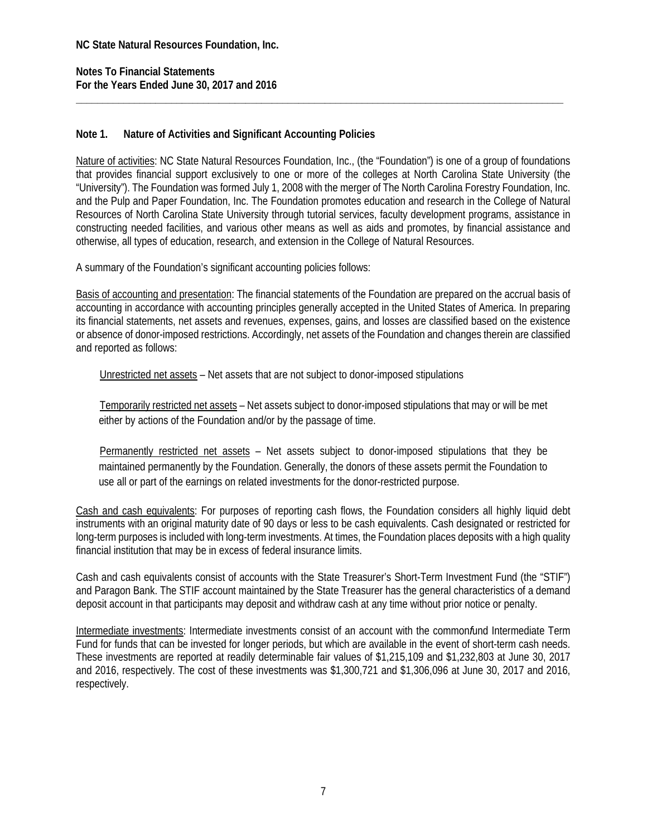**Notes To Financial Statements For the Years Ended June 30, 2017 and 2016** 

## **Note 1. Nature of Activities and Significant Accounting Policies**

Nature of activities: NC State Natural Resources Foundation, Inc., (the "Foundation") is one of a group of foundations that provides financial support exclusively to one or more of the colleges at North Carolina State University (the "University"). The Foundation was formed July 1, 2008 with the merger of The North Carolina Forestry Foundation, Inc. and the Pulp and Paper Foundation, Inc. The Foundation promotes education and research in the College of Natural Resources of North Carolina State University through tutorial services, faculty development programs, assistance in constructing needed facilities, and various other means as well as aids and promotes, by financial assistance and otherwise, all types of education, research, and extension in the College of Natural Resources.

**\_\_\_\_\_\_\_\_\_\_\_\_\_\_\_\_\_\_\_\_\_\_\_\_\_\_\_\_\_\_\_\_\_\_\_\_\_\_\_\_\_\_\_\_\_\_\_\_\_\_\_\_\_\_\_\_\_\_\_\_\_\_\_\_\_\_\_\_\_\_\_\_\_\_\_\_\_\_\_\_\_\_\_\_\_\_\_\_\_\_\_\_** 

A summary of the Foundation's significant accounting policies follows:

Basis of accounting and presentation: The financial statements of the Foundation are prepared on the accrual basis of accounting in accordance with accounting principles generally accepted in the United States of America. In preparing its financial statements, net assets and revenues, expenses, gains, and losses are classified based on the existence or absence of donor-imposed restrictions. Accordingly, net assets of the Foundation and changes therein are classified and reported as follows:

Unrestricted net assets – Net assets that are not subject to donor-imposed stipulations

Temporarily restricted net assets – Net assets subject to donor-imposed stipulations that may or will be met either by actions of the Foundation and/or by the passage of time.

Permanently restricted net assets – Net assets subject to donor-imposed stipulations that they be maintained permanently by the Foundation. Generally, the donors of these assets permit the Foundation to use all or part of the earnings on related investments for the donor-restricted purpose.

Cash and cash equivalents: For purposes of reporting cash flows, the Foundation considers all highly liquid debt instruments with an original maturity date of 90 days or less to be cash equivalents. Cash designated or restricted for long-term purposes is included with long-term investments. At times, the Foundation places deposits with a high quality financial institution that may be in excess of federal insurance limits.

Cash and cash equivalents consist of accounts with the State Treasurer's Short-Term Investment Fund (the "STIF") and Paragon Bank. The STIF account maintained by the State Treasurer has the general characteristics of a demand deposit account in that participants may deposit and withdraw cash at any time without prior notice or penalty.

Intermediate investments: Intermediate investments consist of an account with the common*f*und Intermediate Term Fund for funds that can be invested for longer periods, but which are available in the event of short-term cash needs. These investments are reported at readily determinable fair values of \$1,215,109 and \$1,232,803 at June 30, 2017 and 2016, respectively. The cost of these investments was \$1,300,721 and \$1,306,096 at June 30, 2017 and 2016, respectively.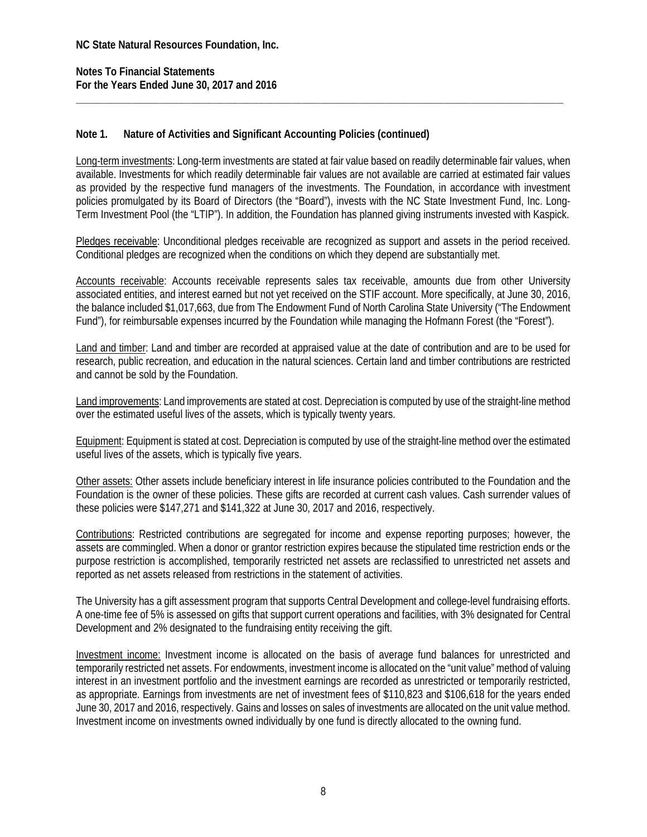**Notes To Financial Statements For the Years Ended June 30, 2017 and 2016** 

## **Note 1. Nature of Activities and Significant Accounting Policies (continued)**

Long-term investments: Long-term investments are stated at fair value based on readily determinable fair values, when available. Investments for which readily determinable fair values are not available are carried at estimated fair values as provided by the respective fund managers of the investments. The Foundation, in accordance with investment policies promulgated by its Board of Directors (the "Board"), invests with the NC State Investment Fund, Inc. Long-Term Investment Pool (the "LTIP"). In addition, the Foundation has planned giving instruments invested with Kaspick.

**\_\_\_\_\_\_\_\_\_\_\_\_\_\_\_\_\_\_\_\_\_\_\_\_\_\_\_\_\_\_\_\_\_\_\_\_\_\_\_\_\_\_\_\_\_\_\_\_\_\_\_\_\_\_\_\_\_\_\_\_\_\_\_\_\_\_\_\_\_\_\_\_\_\_\_\_\_\_\_\_\_\_\_\_\_\_\_\_\_\_\_\_** 

Pledges receivable: Unconditional pledges receivable are recognized as support and assets in the period received. Conditional pledges are recognized when the conditions on which they depend are substantially met.

Accounts receivable: Accounts receivable represents sales tax receivable, amounts due from other University associated entities, and interest earned but not yet received on the STIF account. More specifically, at June 30, 2016, the balance included \$1,017,663, due from The Endowment Fund of North Carolina State University ("The Endowment Fund"), for reimbursable expenses incurred by the Foundation while managing the Hofmann Forest (the "Forest").

Land and timber: Land and timber are recorded at appraised value at the date of contribution and are to be used for research, public recreation, and education in the natural sciences. Certain land and timber contributions are restricted and cannot be sold by the Foundation.

Land improvements: Land improvements are stated at cost. Depreciation is computed by use of the straight-line method over the estimated useful lives of the assets, which is typically twenty years.

Equipment: Equipment is stated at cost. Depreciation is computed by use of the straight-line method over the estimated useful lives of the assets, which is typically five years.

Other assets: Other assets include beneficiary interest in life insurance policies contributed to the Foundation and the Foundation is the owner of these policies. These gifts are recorded at current cash values. Cash surrender values of these policies were \$147,271 and \$141,322 at June 30, 2017 and 2016, respectively.

Contributions: Restricted contributions are segregated for income and expense reporting purposes; however, the assets are commingled. When a donor or grantor restriction expires because the stipulated time restriction ends or the purpose restriction is accomplished, temporarily restricted net assets are reclassified to unrestricted net assets and reported as net assets released from restrictions in the statement of activities.

The University has a gift assessment program that supports Central Development and college-level fundraising efforts. A one-time fee of 5% is assessed on gifts that support current operations and facilities, with 3% designated for Central Development and 2% designated to the fundraising entity receiving the gift.

Investment income: Investment income is allocated on the basis of average fund balances for unrestricted and temporarily restricted net assets. For endowments, investment income is allocated on the "unit value" method of valuing interest in an investment portfolio and the investment earnings are recorded as unrestricted or temporarily restricted, as appropriate. Earnings from investments are net of investment fees of \$110,823 and \$106,618 for the years ended June 30, 2017 and 2016, respectively. Gains and losses on sales of investments are allocated on the unit value method. Investment income on investments owned individually by one fund is directly allocated to the owning fund.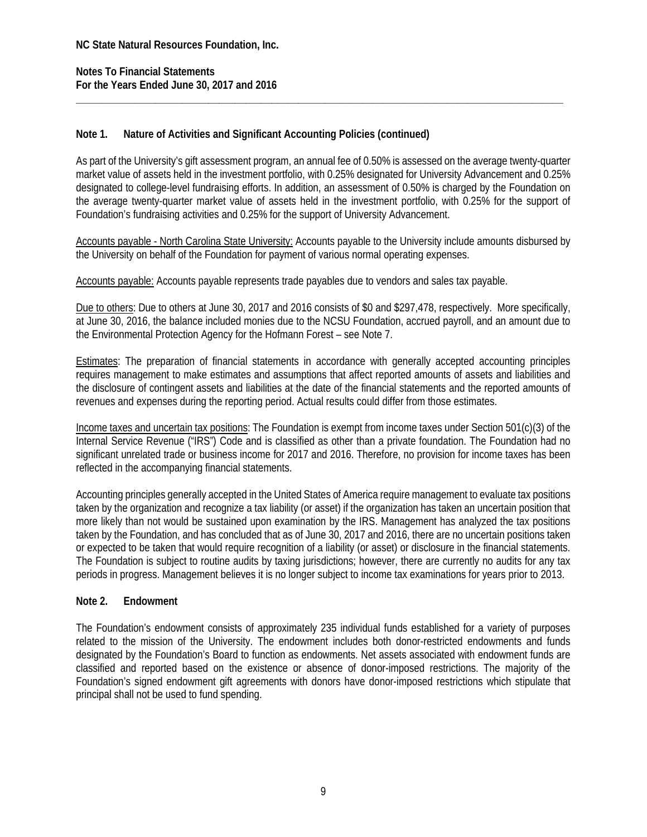**Notes To Financial Statements For the Years Ended June 30, 2017 and 2016** 

## **Note 1. Nature of Activities and Significant Accounting Policies (continued)**

As part of the University's gift assessment program, an annual fee of 0.50% is assessed on the average twenty-quarter market value of assets held in the investment portfolio, with 0.25% designated for University Advancement and 0.25% designated to college-level fundraising efforts. In addition, an assessment of 0.50% is charged by the Foundation on the average twenty-quarter market value of assets held in the investment portfolio, with 0.25% for the support of Foundation's fundraising activities and 0.25% for the support of University Advancement.

**\_\_\_\_\_\_\_\_\_\_\_\_\_\_\_\_\_\_\_\_\_\_\_\_\_\_\_\_\_\_\_\_\_\_\_\_\_\_\_\_\_\_\_\_\_\_\_\_\_\_\_\_\_\_\_\_\_\_\_\_\_\_\_\_\_\_\_\_\_\_\_\_\_\_\_\_\_\_\_\_\_\_\_\_\_\_\_\_\_\_\_\_** 

Accounts payable - North Carolina State University: Accounts payable to the University include amounts disbursed by the University on behalf of the Foundation for payment of various normal operating expenses.

Accounts payable: Accounts payable represents trade payables due to vendors and sales tax payable.

Due to others: Due to others at June 30, 2017 and 2016 consists of \$0 and \$297,478, respectively. More specifically, at June 30, 2016, the balance included monies due to the NCSU Foundation, accrued payroll, and an amount due to the Environmental Protection Agency for the Hofmann Forest – see Note 7.

Estimates: The preparation of financial statements in accordance with generally accepted accounting principles requires management to make estimates and assumptions that affect reported amounts of assets and liabilities and the disclosure of contingent assets and liabilities at the date of the financial statements and the reported amounts of revenues and expenses during the reporting period. Actual results could differ from those estimates.

Income taxes and uncertain tax positions: The Foundation is exempt from income taxes under Section 501(c)(3) of the Internal Service Revenue ("IRS") Code and is classified as other than a private foundation. The Foundation had no significant unrelated trade or business income for 2017 and 2016. Therefore, no provision for income taxes has been reflected in the accompanying financial statements.

Accounting principles generally accepted in the United States of America require management to evaluate tax positions taken by the organization and recognize a tax liability (or asset) if the organization has taken an uncertain position that more likely than not would be sustained upon examination by the IRS. Management has analyzed the tax positions taken by the Foundation, and has concluded that as of June 30, 2017 and 2016, there are no uncertain positions taken or expected to be taken that would require recognition of a liability (or asset) or disclosure in the financial statements. The Foundation is subject to routine audits by taxing jurisdictions; however, there are currently no audits for any tax periods in progress. Management believes it is no longer subject to income tax examinations for years prior to 2013.

## **Note 2. Endowment**

The Foundation's endowment consists of approximately 235 individual funds established for a variety of purposes related to the mission of the University. The endowment includes both donor-restricted endowments and funds designated by the Foundation's Board to function as endowments. Net assets associated with endowment funds are classified and reported based on the existence or absence of donor-imposed restrictions. The majority of the Foundation's signed endowment gift agreements with donors have donor-imposed restrictions which stipulate that principal shall not be used to fund spending.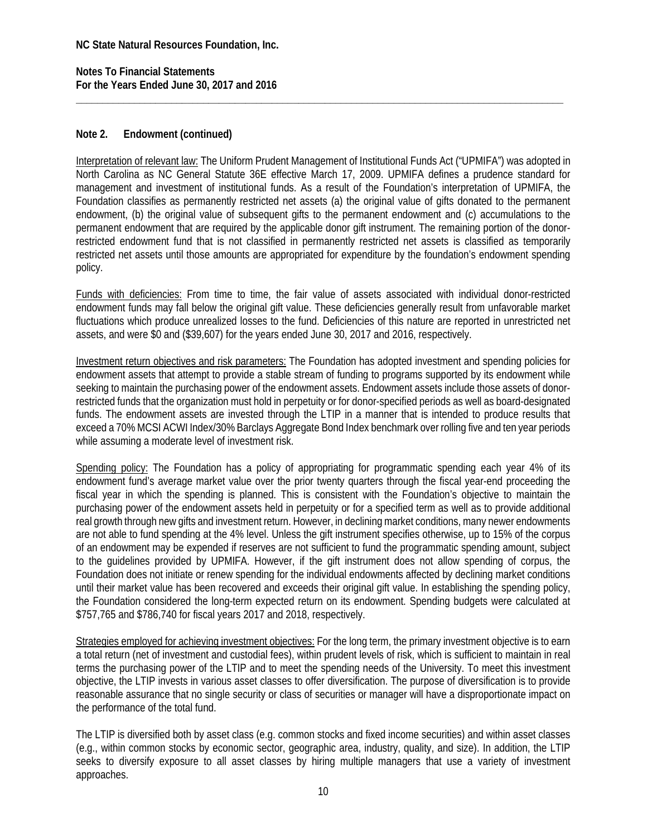**Notes To Financial Statements For the Years Ended June 30, 2017 and 2016** 

## **Note 2. Endowment (continued)**

Interpretation of relevant law: The Uniform Prudent Management of Institutional Funds Act ("UPMIFA") was adopted in North Carolina as NC General Statute 36E effective March 17, 2009. UPMIFA defines a prudence standard for management and investment of institutional funds. As a result of the Foundation's interpretation of UPMIFA, the Foundation classifies as permanently restricted net assets (a) the original value of gifts donated to the permanent endowment, (b) the original value of subsequent gifts to the permanent endowment and (c) accumulations to the permanent endowment that are required by the applicable donor gift instrument. The remaining portion of the donorrestricted endowment fund that is not classified in permanently restricted net assets is classified as temporarily restricted net assets until those amounts are appropriated for expenditure by the foundation's endowment spending policy.

**\_\_\_\_\_\_\_\_\_\_\_\_\_\_\_\_\_\_\_\_\_\_\_\_\_\_\_\_\_\_\_\_\_\_\_\_\_\_\_\_\_\_\_\_\_\_\_\_\_\_\_\_\_\_\_\_\_\_\_\_\_\_\_\_\_\_\_\_\_\_\_\_\_\_\_\_\_\_\_\_\_\_\_\_\_\_\_\_\_\_\_\_** 

Funds with deficiencies: From time to time, the fair value of assets associated with individual donor-restricted endowment funds may fall below the original gift value. These deficiencies generally result from unfavorable market fluctuations which produce unrealized losses to the fund. Deficiencies of this nature are reported in unrestricted net assets, and were \$0 and (\$39,607) for the years ended June 30, 2017 and 2016, respectively.

Investment return objectives and risk parameters: The Foundation has adopted investment and spending policies for endowment assets that attempt to provide a stable stream of funding to programs supported by its endowment while seeking to maintain the purchasing power of the endowment assets. Endowment assets include those assets of donorrestricted funds that the organization must hold in perpetuity or for donor-specified periods as well as board-designated funds. The endowment assets are invested through the LTIP in a manner that is intended to produce results that exceed a 70% MCSI ACWI Index/30% Barclays Aggregate Bond Index benchmark over rolling five and ten year periods while assuming a moderate level of investment risk.

Spending policy: The Foundation has a policy of appropriating for programmatic spending each year 4% of its endowment fund's average market value over the prior twenty quarters through the fiscal year-end proceeding the fiscal year in which the spending is planned. This is consistent with the Foundation's objective to maintain the purchasing power of the endowment assets held in perpetuity or for a specified term as well as to provide additional real growth through new gifts and investment return. However, in declining market conditions, many newer endowments are not able to fund spending at the 4% level. Unless the gift instrument specifies otherwise, up to 15% of the corpus of an endowment may be expended if reserves are not sufficient to fund the programmatic spending amount, subject to the guidelines provided by UPMIFA. However, if the gift instrument does not allow spending of corpus, the Foundation does not initiate or renew spending for the individual endowments affected by declining market conditions until their market value has been recovered and exceeds their original gift value. In establishing the spending policy, the Foundation considered the long-term expected return on its endowment. Spending budgets were calculated at \$757,765 and \$786,740 for fiscal years 2017 and 2018, respectively.

Strategies employed for achieving investment objectives: For the long term, the primary investment objective is to earn a total return (net of investment and custodial fees), within prudent levels of risk, which is sufficient to maintain in real terms the purchasing power of the LTIP and to meet the spending needs of the University. To meet this investment objective, the LTIP invests in various asset classes to offer diversification. The purpose of diversification is to provide reasonable assurance that no single security or class of securities or manager will have a disproportionate impact on the performance of the total fund.

The LTIP is diversified both by asset class (e.g. common stocks and fixed income securities) and within asset classes (e.g., within common stocks by economic sector, geographic area, industry, quality, and size). In addition, the LTIP seeks to diversify exposure to all asset classes by hiring multiple managers that use a variety of investment approaches.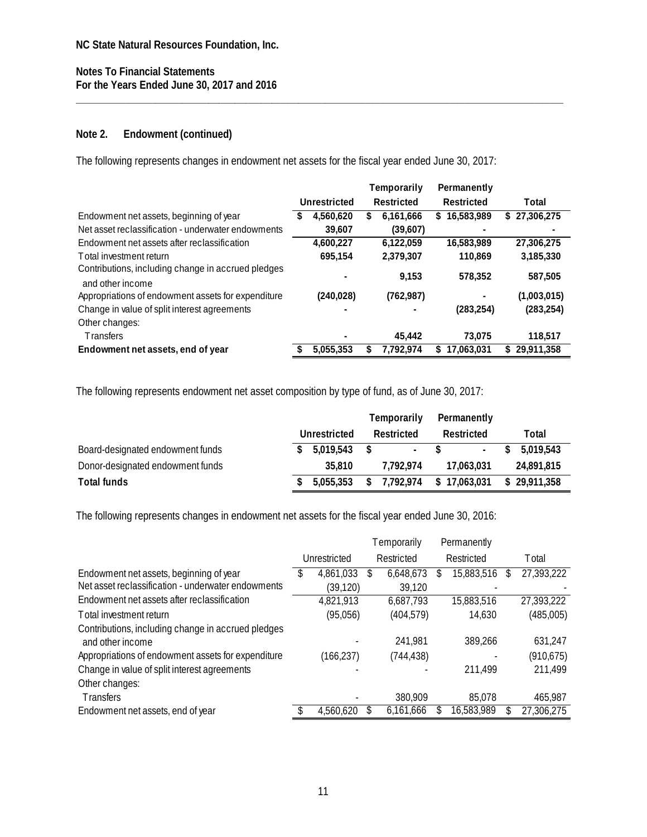## **Notes To Financial Statements For the Years Ended June 30, 2017 and 2016**

## **Note 2. Endowment (continued)**

The following represents changes in endowment net assets for the fiscal year ended June 30, 2017:

|                                                                        |              |            |            | Temporarily | Permanently       |                  |
|------------------------------------------------------------------------|--------------|------------|------------|-------------|-------------------|------------------|
|                                                                        | Unrestricted |            | Restricted |             | <b>Restricted</b> | Total            |
| Endowment net assets, beginning of year                                | æ.           | 4,560,620  | S          | 6,161,666   | 16.583.989<br>\$  | \$27,306,275     |
| Net asset reclassification - underwater endowments                     |              | 39,607     |            | (39,607)    | $\blacksquare$    |                  |
| Endowment net assets after reclassification                            |              | 4,600,227  |            | 6,122,059   | 16,583,989        | 27,306,275       |
| Total investment return                                                |              | 695.154    |            | 2.379.307   | 110.869           | 3.185.330        |
| Contributions, including change in accrued pledges<br>and other income |              |            |            | 9.153       | 578.352           | 587.505          |
| Appropriations of endowment assets for expenditure                     |              | (240, 028) |            | (762,987)   |                   | (1,003,015)      |
| Change in value of split interest agreements                           |              |            |            |             | (283, 254)        | (283, 254)       |
| Other changes:                                                         |              |            |            |             |                   |                  |
| <b>Transfers</b>                                                       |              |            |            | 45.442      | 73.075            | 118,517          |
| Endowment net assets, end of year                                      |              | 5,055,353  | S          | 7.792.974   | 17,063,031        | 29,911,358<br>S. |

**\_\_\_\_\_\_\_\_\_\_\_\_\_\_\_\_\_\_\_\_\_\_\_\_\_\_\_\_\_\_\_\_\_\_\_\_\_\_\_\_\_\_\_\_\_\_\_\_\_\_\_\_\_\_\_\_\_\_\_\_\_\_\_\_\_\_\_\_\_\_\_\_\_\_\_\_\_\_\_\_\_\_\_\_\_\_\_\_\_\_\_\_** 

The following represents endowment net asset composition by type of fund, as of June 30, 2017:

|                                  |              |             |            | Temporarily |            | Permanently  |              |
|----------------------------------|--------------|-------------|------------|-------------|------------|--------------|--------------|
|                                  | Unrestricted |             | Restricted |             | Restricted |              | Total        |
| Board-designated endowment funds |              | \$5,019,543 | -S         | $\sim$ \$   |            | $\sim$       | 5,019,543    |
| Donor-designated endowment funds |              | 35.810      |            | 7.792.974   |            | 17.063.031   | 24,891,815   |
| <b>Total funds</b>               |              | \$5.055.353 | \$         | 7,792,974   |            | \$17,063,031 | \$29,911,358 |

The following represents changes in endowment net assets for the fiscal year ended June 30, 2016:

|                                                    | Temporarily |              |            | Permanently |            |   |               |
|----------------------------------------------------|-------------|--------------|------------|-------------|------------|---|---------------|
|                                                    |             | Unrestricted | Restricted |             | Restricted |   | <b>T</b> otal |
| Endowment net assets, beginning of year            | ъ           | 4,861,033    | 6,648,673  | S           | 15,883,516 | S | 27,393,222    |
| Net asset reclassification - underwater endowments |             | (39, 120)    | 39,120     |             |            |   |               |
| Endowment net assets after reclassification        |             | 4,821,913    | 6,687,793  |             | 15,883,516 |   | 27,393,222    |
| Total investment return                            |             | (95,056)     | (404, 579) |             | 14,630     |   | (485,005)     |
| Contributions, including change in accrued pledges |             |              |            |             |            |   |               |
| and other income                                   |             |              | 241,981    |             | 389,266    |   | 631.247       |
| Appropriations of endowment assets for expenditure |             | (166, 237)   | (744, 438) |             |            |   | (910, 675)    |
| Change in value of split interest agreements       |             |              |            |             | 211,499    |   | 211,499       |
| Other changes:                                     |             |              |            |             |            |   |               |
| <b>Transfers</b>                                   |             |              | 380,909    |             | 85,078     |   | 465,987       |
| Endowment net assets, end of year                  |             | 4.560.620    | 6,161,666  |             | 16,583,989 |   | 27,306,275    |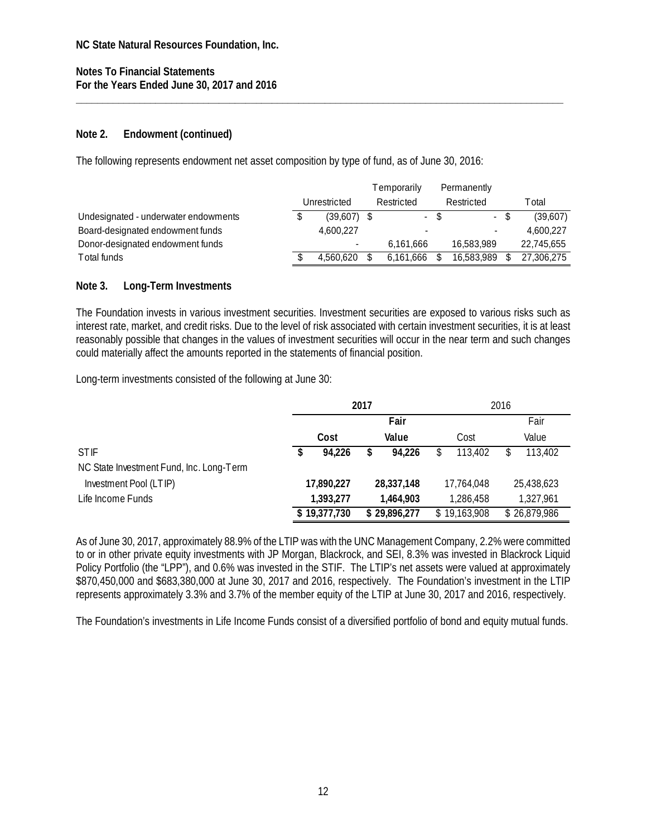## **Notes To Financial Statements For the Years Ended June 30, 2017 and 2016**

## **Note 2. Endowment (continued)**

The following represents endowment net asset composition by type of fund, as of June 30, 2016:

|                                      |              |                          | Temporarily |      | Permanently              |        |            |
|--------------------------------------|--------------|--------------------------|-------------|------|--------------------------|--------|------------|
|                                      | Unrestricted |                          | Restricted  |      | Restricted               |        | T otal     |
| Undesignated - underwater endowments |              | $(39,607)$ \$            |             | - \$ |                          | $-$ \$ | (39,607)   |
| Board-designated endowment funds     |              | 4,600,227                |             |      | $\overline{\phantom{0}}$ |        | 4,600,227  |
| Donor-designated endowment funds     |              | $\overline{\phantom{a}}$ | 6.161.666   |      | 16,583,989               |        | 22,745,655 |
| Total funds                          |              | 4.560.620                | 6.161.666   |      | 16.583.989               |        | 27,306,275 |

**\_\_\_\_\_\_\_\_\_\_\_\_\_\_\_\_\_\_\_\_\_\_\_\_\_\_\_\_\_\_\_\_\_\_\_\_\_\_\_\_\_\_\_\_\_\_\_\_\_\_\_\_\_\_\_\_\_\_\_\_\_\_\_\_\_\_\_\_\_\_\_\_\_\_\_\_\_\_\_\_\_\_\_\_\_\_\_\_\_\_\_\_** 

## **Note 3. Long-Term Investments**

The Foundation invests in various investment securities. Investment securities are exposed to various risks such as interest rate, market, and credit risks. Due to the level of risk associated with certain investment securities, it is at least reasonably possible that changes in the values of investment securities will occur in the near term and such changes could materially affect the amounts reported in the statements of financial position.

Long-term investments consisted of the following at June 30:

|                                          | 2017          |      |              |           | 2016         |           |              |  |
|------------------------------------------|---------------|------|--------------|-----------|--------------|-----------|--------------|--|
|                                          |               | Fair |              |           |              |           |              |  |
|                                          | Value<br>Cost |      |              |           | Cost         | Value     |              |  |
| <b>STIF</b>                              | 94,226        | \$   | 94,226       |           | 113,402      |           | 113,402      |  |
| NC State Investment Fund, Inc. Long-Term |               |      |              |           |              |           |              |  |
| Investment Pool (LTIP)                   | 17,890,227    |      | 28,337,148   |           | 17,764,048   |           | 25,438,623   |  |
| Life Income Funds                        | 1,393,277     |      | 1,464,903    | 1,286,458 |              | 1,327,961 |              |  |
|                                          | \$19,377,730  |      | \$29,896,277 |           | \$19,163,908 |           | \$26,879,986 |  |

As of June 30, 2017, approximately 88.9% of the LTIP was with the UNC Management Company, 2.2% were committed to or in other private equity investments with JP Morgan, Blackrock, and SEI, 8.3% was invested in Blackrock Liquid Policy Portfolio (the "LPP"), and 0.6% was invested in the STIF. The LTIP's net assets were valued at approximately \$870,450,000 and \$683,380,000 at June 30, 2017 and 2016, respectively. The Foundation's investment in the LTIP represents approximately 3.3% and 3.7% of the member equity of the LTIP at June 30, 2017 and 2016, respectively.

The Foundation's investments in Life Income Funds consist of a diversified portfolio of bond and equity mutual funds.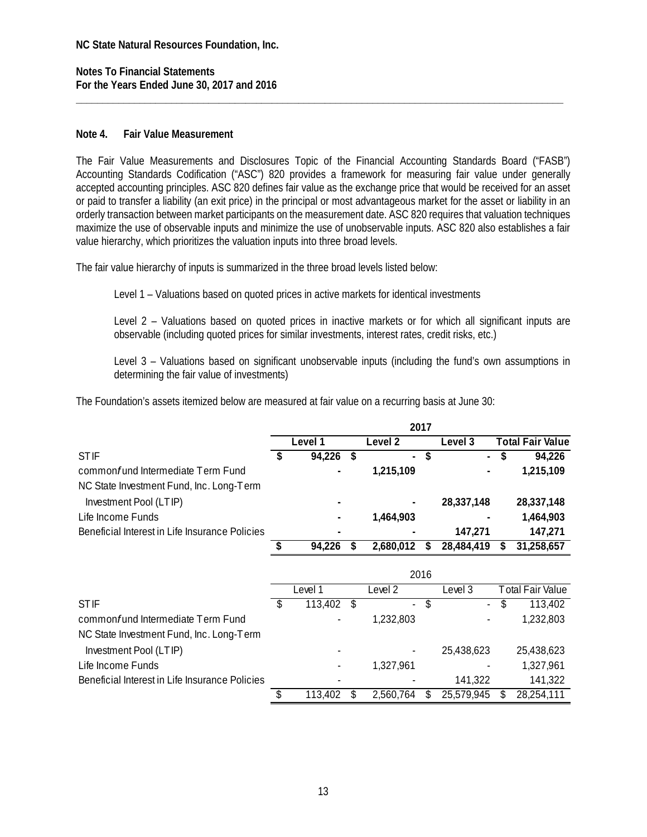**Notes To Financial Statements For the Years Ended June 30, 2017 and 2016** 

#### **Note 4. Fair Value Measurement**

The Fair Value Measurements and Disclosures Topic of the Financial Accounting Standards Board ("FASB") Accounting Standards Codification ("ASC") 820 provides a framework for measuring fair value under generally accepted accounting principles. ASC 820 defines fair value as the exchange price that would be received for an asset or paid to transfer a liability (an exit price) in the principal or most advantageous market for the asset or liability in an orderly transaction between market participants on the measurement date. ASC 820 requires that valuation techniques maximize the use of observable inputs and minimize the use of unobservable inputs. ASC 820 also establishes a fair value hierarchy, which prioritizes the valuation inputs into three broad levels.

**\_\_\_\_\_\_\_\_\_\_\_\_\_\_\_\_\_\_\_\_\_\_\_\_\_\_\_\_\_\_\_\_\_\_\_\_\_\_\_\_\_\_\_\_\_\_\_\_\_\_\_\_\_\_\_\_\_\_\_\_\_\_\_\_\_\_\_\_\_\_\_\_\_\_\_\_\_\_\_\_\_\_\_\_\_\_\_\_\_\_\_\_** 

The fair value hierarchy of inputs is summarized in the three broad levels listed below:

Level 1 – Valuations based on quoted prices in active markets for identical investments

Level 2 – Valuations based on quoted prices in inactive markets or for which all significant inputs are observable (including quoted prices for similar investments, interest rates, credit risks, etc.)

Level 3 – Valuations based on significant unobservable inputs (including the fund's own assumptions in determining the fair value of investments)

The Foundation's assets itemized below are measured at fair value on a recurring basis at June 30:

|                                                | 2017 |         |               |                    |    |            |     |                         |
|------------------------------------------------|------|---------|---------------|--------------------|----|------------|-----|-------------------------|
|                                                |      | Level 1 |               | Level <sub>2</sub> |    | Level 3    |     | <b>Total Fair Value</b> |
| <b>STIF</b>                                    | \$   | 94,226  | \$            | $\blacksquare$     | \$ |            | \$  | 94,226                  |
| commonfund Intermediate Term Fund              |      |         |               | 1,215,109          |    |            |     | 1,215,109               |
| NC State Investment Fund, Inc. Long-Term       |      |         |               |                    |    |            |     |                         |
| Investment Pool (LTIP)                         |      |         |               |                    |    | 28,337,148 |     | 28,337,148              |
| Life Income Funds                              |      |         |               | 1,464,903          |    |            |     | 1,464,903               |
| Beneficial Interest in Life Insurance Policies |      |         |               |                    |    | 147,271    |     | 147,271                 |
|                                                | \$   | 94,226  | \$            | 2,680,012          | S  | 28,484,419 | \$  | 31,258,657              |
|                                                |      |         |               | 2016               |    |            |     |                         |
|                                                |      | Level 1 |               | Level 2            |    | Level 3    |     | Total Fair Value        |
|                                                |      |         | $\mathcal{S}$ |                    |    |            |     |                         |
| <b>STIF</b>                                    | \$   | 113,402 |               |                    | \$ |            | \$. | 113,402                 |
| common/und Intermediate Term Fund              |      |         |               | 1,232,803          |    |            |     | 1,232,803               |
| NC State Investment Fund, Inc. Long-Term       |      |         |               |                    |    |            |     |                         |
| Investment Pool (LTIP)                         |      |         |               |                    |    | 25,438,623 |     | 25,438,623              |
| Life Income Funds                              |      |         |               | 1,327,961          |    |            |     | 1,327,961               |
| Beneficial Interest in Life Insurance Policies |      |         |               |                    |    | 141,322    |     | 141,322                 |
|                                                | \$   | 113,402 | \$.           | 2,560,764          | \$ | 25,579,945 | \$  | 28,254,111              |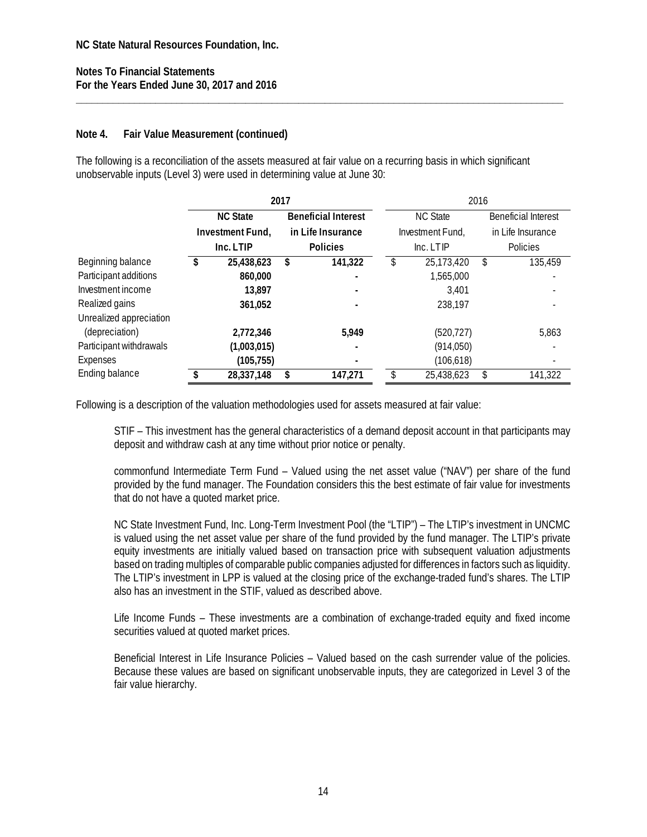## **Notes To Financial Statements For the Years Ended June 30, 2017 and 2016**

## **Note 4. Fair Value Measurement (continued)**

The following is a reconciliation of the assets measured at fair value on a recurring basis in which significant unobservable inputs (Level 3) were used in determining value at June 30:

**\_\_\_\_\_\_\_\_\_\_\_\_\_\_\_\_\_\_\_\_\_\_\_\_\_\_\_\_\_\_\_\_\_\_\_\_\_\_\_\_\_\_\_\_\_\_\_\_\_\_\_\_\_\_\_\_\_\_\_\_\_\_\_\_\_\_\_\_\_\_\_\_\_\_\_\_\_\_\_\_\_\_\_\_\_\_\_\_\_\_\_\_** 

|                         |                  | 2017                       |                 | 2016      |                  |    |                            |  |  |
|-------------------------|------------------|----------------------------|-----------------|-----------|------------------|----|----------------------------|--|--|
|                         | <b>NC State</b>  | <b>Beneficial Interest</b> |                 |           | <b>NC State</b>  |    | <b>Beneficial Interest</b> |  |  |
|                         | Investment Fund, | in Life Insurance          |                 |           | Investment Fund, |    | in Life Insurance          |  |  |
|                         | Inc. LTIP        |                            | <b>Policies</b> | Inc. LTIP |                  |    | Policies                   |  |  |
| Beginning balance       | 25,438,623       | \$                         | 141,322         | \$        | 25,173,420       | \$ | 135,459                    |  |  |
| Participant additions   | 860,000          |                            |                 |           | 1,565,000        |    |                            |  |  |
| Investment income       | 13,897           |                            |                 |           | 3,401            |    |                            |  |  |
| Realized gains          | 361.052          |                            |                 |           | 238,197          |    |                            |  |  |
| Unrealized appreciation |                  |                            |                 |           |                  |    |                            |  |  |
| (depreciation)          | 2,772,346        |                            | 5.949           |           | (520, 727)       |    | 5,863                      |  |  |
| Participant withdrawals | (1,003,015)      |                            |                 |           | (914, 050)       |    |                            |  |  |
| Expenses                | (105, 755)       |                            |                 |           | (106, 618)       |    |                            |  |  |
| Ending balance          | 28,337,148       | \$                         | 147,271         | \$        | 25,438,623       | S  | 141,322                    |  |  |

Following is a description of the valuation methodologies used for assets measured at fair value:

STIF – This investment has the general characteristics of a demand deposit account in that participants may deposit and withdraw cash at any time without prior notice or penalty.

commonfund Intermediate Term Fund – Valued using the net asset value ("NAV") per share of the fund provided by the fund manager. The Foundation considers this the best estimate of fair value for investments that do not have a quoted market price.

NC State Investment Fund, Inc. Long-Term Investment Pool (the "LTIP") – The LTIP's investment in UNCMC is valued using the net asset value per share of the fund provided by the fund manager. The LTIP's private equity investments are initially valued based on transaction price with subsequent valuation adjustments based on trading multiples of comparable public companies adjusted for differences in factors such as liquidity. The LTIP's investment in LPP is valued at the closing price of the exchange-traded fund's shares. The LTIP also has an investment in the STIF, valued as described above.

Life Income Funds – These investments are a combination of exchange-traded equity and fixed income securities valued at quoted market prices.

Beneficial Interest in Life Insurance Policies – Valued based on the cash surrender value of the policies. Because these values are based on significant unobservable inputs, they are categorized in Level 3 of the fair value hierarchy.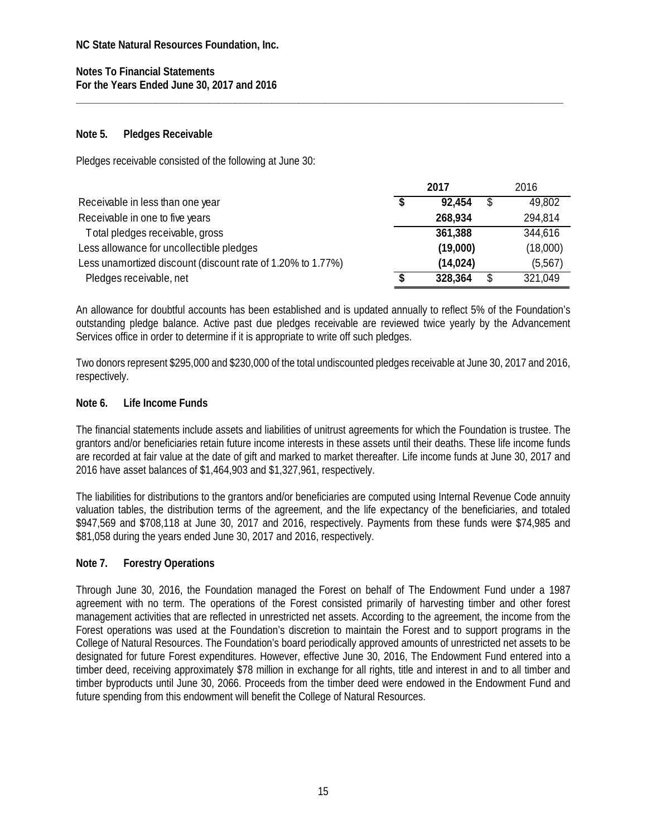## **Notes To Financial Statements For the Years Ended June 30, 2017 and 2016**

## **Note 5. Pledges Receivable**

Pledges receivable consisted of the following at June 30:

|                                                             | 2017 |           |   | 2016     |  |  |
|-------------------------------------------------------------|------|-----------|---|----------|--|--|
| Receivable in less than one year                            |      | 92.454    | S | 49,802   |  |  |
| Receivable in one to five years                             |      | 268,934   |   | 294,814  |  |  |
| Total pledges receivable, gross                             |      | 361,388   |   | 344,616  |  |  |
| Less allowance for uncollectible pledges                    |      | (19,000)  |   | (18,000) |  |  |
| Less unamortized discount (discount rate of 1.20% to 1.77%) |      | (14, 024) |   | (5,567)  |  |  |
| Pledges receivable, net                                     |      | 328,364   | S | 321,049  |  |  |

**\_\_\_\_\_\_\_\_\_\_\_\_\_\_\_\_\_\_\_\_\_\_\_\_\_\_\_\_\_\_\_\_\_\_\_\_\_\_\_\_\_\_\_\_\_\_\_\_\_\_\_\_\_\_\_\_\_\_\_\_\_\_\_\_\_\_\_\_\_\_\_\_\_\_\_\_\_\_\_\_\_\_\_\_\_\_\_\_\_\_\_\_** 

An allowance for doubtful accounts has been established and is updated annually to reflect 5% of the Foundation's outstanding pledge balance. Active past due pledges receivable are reviewed twice yearly by the Advancement Services office in order to determine if it is appropriate to write off such pledges.

Two donors represent \$295,000 and \$230,000 of the total undiscounted pledges receivable at June 30, 2017 and 2016, respectively.

### **Note 6. Life Income Funds**

The financial statements include assets and liabilities of unitrust agreements for which the Foundation is trustee. The grantors and/or beneficiaries retain future income interests in these assets until their deaths. These life income funds are recorded at fair value at the date of gift and marked to market thereafter. Life income funds at June 30, 2017 and 2016 have asset balances of \$1,464,903 and \$1,327,961, respectively.

The liabilities for distributions to the grantors and/or beneficiaries are computed using Internal Revenue Code annuity valuation tables, the distribution terms of the agreement, and the life expectancy of the beneficiaries, and totaled \$947,569 and \$708,118 at June 30, 2017 and 2016, respectively. Payments from these funds were \$74,985 and \$81,058 during the years ended June 30, 2017 and 2016, respectively.

## **Note 7. Forestry Operations**

Through June 30, 2016, the Foundation managed the Forest on behalf of The Endowment Fund under a 1987 agreement with no term. The operations of the Forest consisted primarily of harvesting timber and other forest management activities that are reflected in unrestricted net assets. According to the agreement, the income from the Forest operations was used at the Foundation's discretion to maintain the Forest and to support programs in the College of Natural Resources. The Foundation's board periodically approved amounts of unrestricted net assets to be designated for future Forest expenditures. However, effective June 30, 2016, The Endowment Fund entered into a timber deed, receiving approximately \$78 million in exchange for all rights, title and interest in and to all timber and timber byproducts until June 30, 2066. Proceeds from the timber deed were endowed in the Endowment Fund and future spending from this endowment will benefit the College of Natural Resources.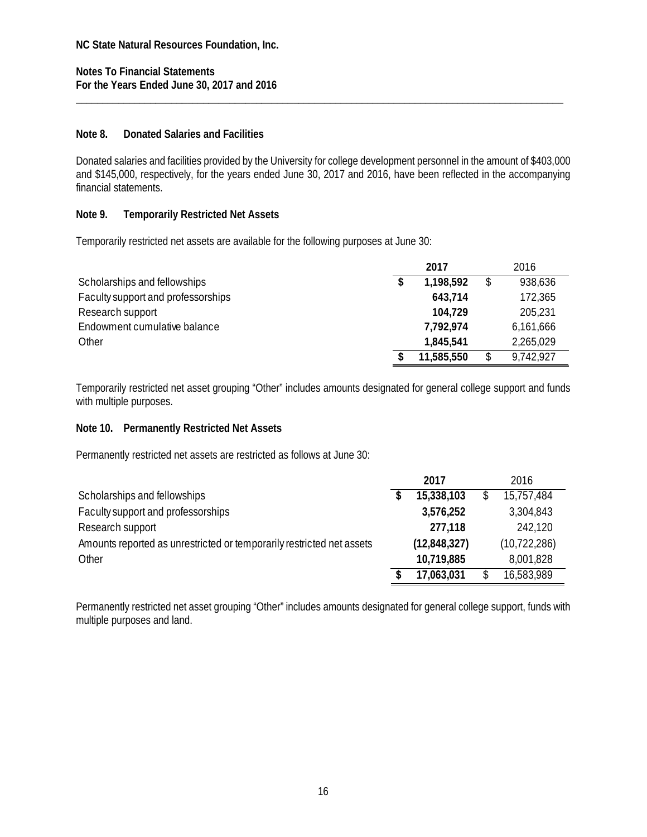**Notes To Financial Statements For the Years Ended June 30, 2017 and 2016** 

## **Note 8. Donated Salaries and Facilities**

Donated salaries and facilities provided by the University for college development personnel in the amount of \$403,000 and \$145,000, respectively, for the years ended June 30, 2017 and 2016, have been reflected in the accompanying financial statements.

**\_\_\_\_\_\_\_\_\_\_\_\_\_\_\_\_\_\_\_\_\_\_\_\_\_\_\_\_\_\_\_\_\_\_\_\_\_\_\_\_\_\_\_\_\_\_\_\_\_\_\_\_\_\_\_\_\_\_\_\_\_\_\_\_\_\_\_\_\_\_\_\_\_\_\_\_\_\_\_\_\_\_\_\_\_\_\_\_\_\_\_\_** 

## **Note 9. Temporarily Restricted Net Assets**

Temporarily restricted net assets are available for the following purposes at June 30:

|                                    | 2017       | 2016            |
|------------------------------------|------------|-----------------|
| Scholarships and fellowships       | 1,198,592  | \$<br>938,636   |
| Faculty support and professorships | 643,714    | 172,365         |
| Research support                   | 104,729    | 205,231         |
| Endowment cumulative balance       | 7,792,974  | 6,161,666       |
| Other                              | 1,845,541  | 2,265,029       |
|                                    | 11,585,550 | \$<br>9.742.927 |

Temporarily restricted net asset grouping "Other" includes amounts designated for general college support and funds with multiple purposes.

#### **Note 10. Permanently Restricted Net Assets**

Permanently restricted net assets are restricted as follows at June 30:

|                                                                       | 2017         |   | 2016           |  |
|-----------------------------------------------------------------------|--------------|---|----------------|--|
| Scholarships and fellowships                                          | 15,338,103   | S | 15,757,484     |  |
| Faculty support and professorships                                    | 3,576,252    |   | 3,304,843      |  |
| Research support                                                      | 277,118      |   | 242,120        |  |
| Amounts reported as unrestricted or temporarily restricted net assets | (12,848,327) |   | (10, 722, 286) |  |
| Other                                                                 | 10,719,885   |   | 8,001,828      |  |
|                                                                       | 17,063,031   |   | 16,583,989     |  |

Permanently restricted net asset grouping "Other" includes amounts designated for general college support, funds with multiple purposes and land.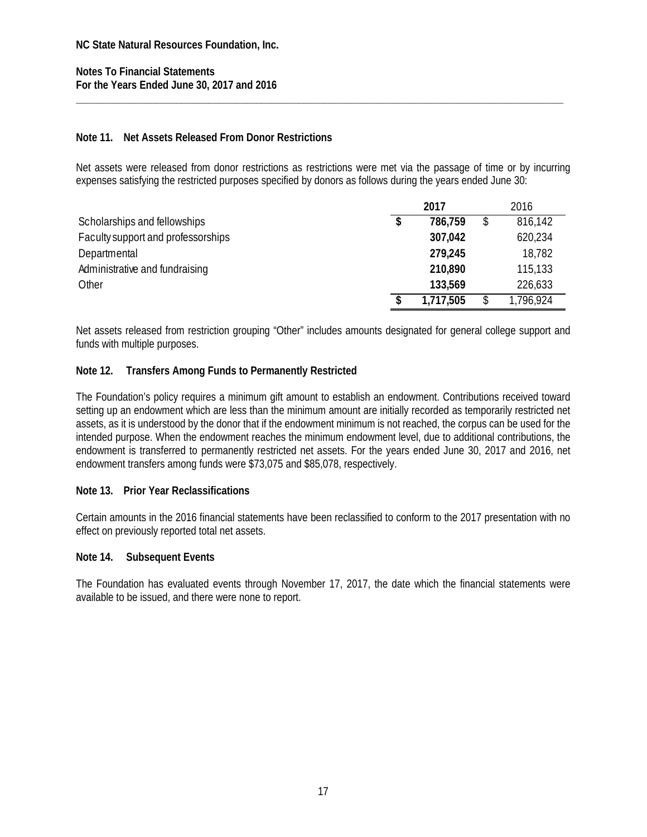**Notes To Financial Statements For the Years Ended June 30, 2017 and 2016** 

## **Note 11. Net Assets Released From Donor Restrictions**

Net assets were released from donor restrictions as restrictions were met via the passage of time or by incurring expenses satisfying the restricted purposes specified by donors as follows during the years ended June 30:

**\_\_\_\_\_\_\_\_\_\_\_\_\_\_\_\_\_\_\_\_\_\_\_\_\_\_\_\_\_\_\_\_\_\_\_\_\_\_\_\_\_\_\_\_\_\_\_\_\_\_\_\_\_\_\_\_\_\_\_\_\_\_\_\_\_\_\_\_\_\_\_\_\_\_\_\_\_\_\_\_\_\_\_\_\_\_\_\_\_\_\_\_** 

|                                    | 2017          |  |           |
|------------------------------------|---------------|--|-----------|
| Scholarships and fellowships       | \$<br>786,759 |  | 816,142   |
| Faculty support and professorships | 307,042       |  | 620,234   |
| Departmental                       | 279,245       |  | 18,782    |
| Administrative and fundraising     | 210,890       |  | 115,133   |
| Other                              | 133,569       |  | 226,633   |
|                                    | 1,717,505     |  | 1,796,924 |

Net assets released from restriction grouping "Other" includes amounts designated for general college support and funds with multiple purposes.

## **Note 12. Transfers Among Funds to Permanently Restricted**

The Foundation's policy requires a minimum gift amount to establish an endowment. Contributions received toward setting up an endowment which are less than the minimum amount are initially recorded as temporarily restricted net assets, as it is understood by the donor that if the endowment minimum is not reached, the corpus can be used for the intended purpose. When the endowment reaches the minimum endowment level, due to additional contributions, the endowment is transferred to permanently restricted net assets. For the years ended June 30, 2017 and 2016, net endowment transfers among funds were \$73,075 and \$85,078, respectively.

#### **Note 13. Prior Year Reclassifications**

Certain amounts in the 2016 financial statements have been reclassified to conform to the 2017 presentation with no effect on previously reported total net assets.

#### **Note 14. Subsequent Events**

The Foundation has evaluated events through November 17, 2017, the date which the financial statements were available to be issued, and there were none to report.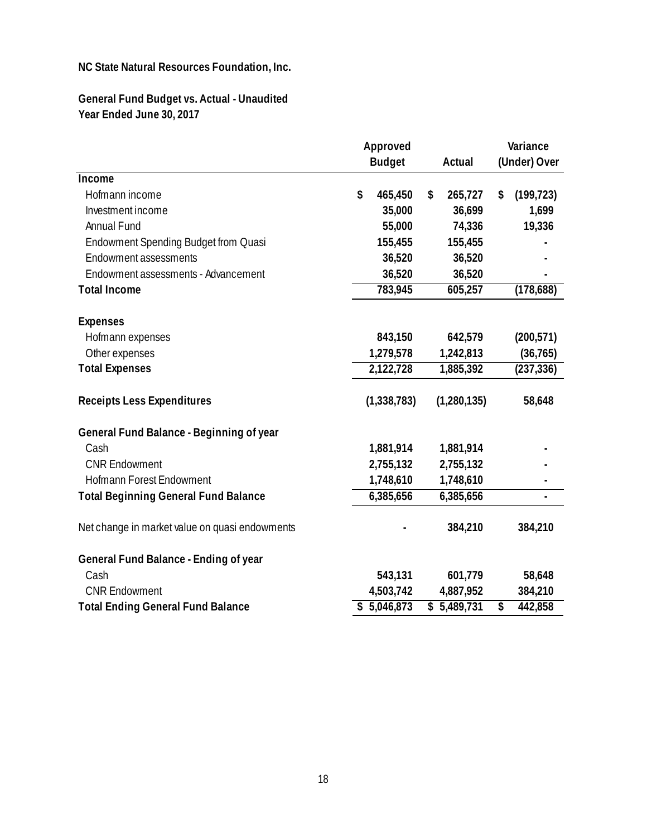**General Fund Budget vs. Actual - Unaudited Year Ended June 30, 2017**

|                                                | Approved      |               | Variance         |  |
|------------------------------------------------|---------------|---------------|------------------|--|
|                                                | <b>Budget</b> | Actual        | (Under) Over     |  |
| Income                                         |               |               |                  |  |
| Hofmann income                                 | \$<br>465,450 | 265,727<br>\$ | (199, 723)<br>\$ |  |
| Investment income                              | 35,000        | 36,699        | 1,699            |  |
| Annual Fund                                    | 55,000        | 74,336        | 19,336           |  |
| Endowment Spending Budget from Quasi           | 155,455       | 155,455       |                  |  |
| <b>Endowment assessments</b>                   | 36,520        | 36,520        |                  |  |
| Endowment assessments - Advancement            | 36,520        | 36,520        |                  |  |
| <b>Total Income</b>                            | 783,945       | 605,257       | (178, 688)       |  |
| <b>Expenses</b>                                |               |               |                  |  |
| Hofmann expenses                               | 843,150       | 642,579       | (200, 571)       |  |
| Other expenses                                 | 1,279,578     | 1,242,813     | (36, 765)        |  |
| <b>Total Expenses</b>                          | 2,122,728     | 1,885,392     | (237, 336)       |  |
| <b>Receipts Less Expenditures</b>              | (1,338,783)   | (1,280,135)   | 58,648           |  |
| General Fund Balance - Beginning of year       |               |               |                  |  |
| Cash                                           | 1,881,914     | 1,881,914     |                  |  |
| <b>CNR Endowment</b>                           | 2,755,132     | 2,755,132     |                  |  |
| Hofmann Forest Endowment                       | 1,748,610     | 1,748,610     |                  |  |
| <b>Total Beginning General Fund Balance</b>    | 6,385,656     | 6,385,656     |                  |  |
| Net change in market value on quasi endowments |               | 384,210       | 384,210          |  |
| General Fund Balance - Ending of year          |               |               |                  |  |
| Cash                                           | 543,131       | 601,779       | 58,648           |  |
| <b>CNR Endowment</b>                           | 4,503,742     | 4,887,952     | 384,210          |  |
| <b>Total Ending General Fund Balance</b>       | \$5,046,873   | \$5,489,731   | \$<br>442,858    |  |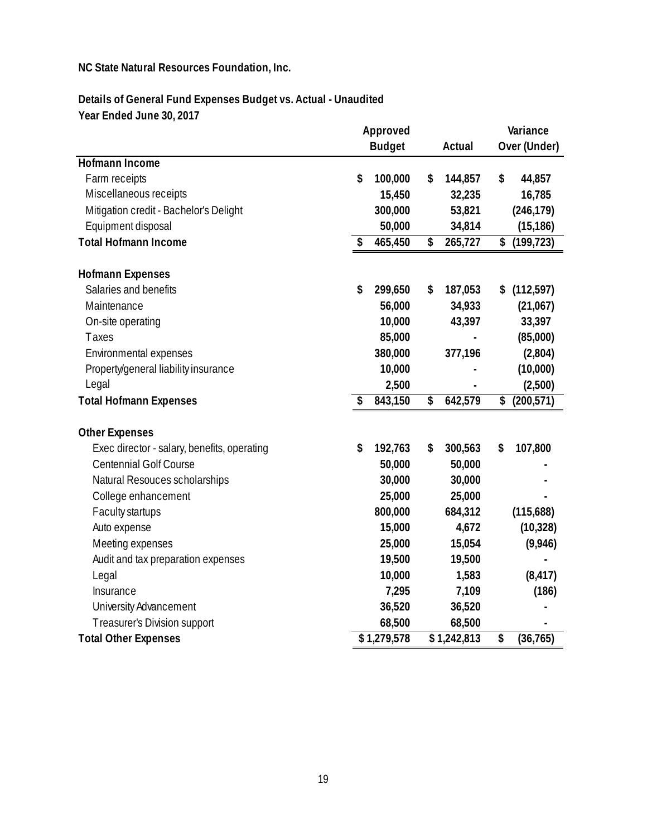# **Details of General Fund Expenses Budget vs. Actual - Unaudited Year Ended June 30, 2017**

|                                             | Approved |               |    |             | Variance |              |  |
|---------------------------------------------|----------|---------------|----|-------------|----------|--------------|--|
|                                             |          | <b>Budget</b> |    | Actual      |          | Over (Under) |  |
| Hofmann Income                              |          |               |    |             |          |              |  |
| Farm receipts                               | \$       | 100,000       | \$ | 144,857     | \$       | 44,857       |  |
| Miscellaneous receipts                      |          | 15,450        |    | 32,235      |          | 16,785       |  |
| Mitigation credit - Bachelor's Delight      |          | 300,000       |    | 53,821      |          | (246, 179)   |  |
| Equipment disposal                          |          | 50,000        |    | 34,814      |          | (15, 186)    |  |
| <b>Total Hofmann Income</b>                 | \$       | 465,450       | \$ | 265,727     | \$       | (199, 723)   |  |
| <b>Hofmann Expenses</b>                     |          |               |    |             |          |              |  |
| Salaries and benefits                       | \$       | 299,650       | \$ | 187,053     |          | \$(112,597)  |  |
| Maintenance                                 |          | 56,000        |    | 34,933      |          | (21,067)     |  |
| On-site operating                           |          | 10,000        |    | 43,397      |          | 33,397       |  |
| Taxes                                       |          | 85,000        |    |             |          | (85,000)     |  |
| Environmental expenses                      |          | 380,000       |    | 377,196     |          | (2,804)      |  |
| Property/general liability insurance        |          | 10,000        |    |             |          | (10,000)     |  |
| Legal                                       |          | 2,500         |    |             |          | (2,500)      |  |
| <b>Total Hofmann Expenses</b>               | \$       | 843,150       | \$ | 642,579     | \$       | (200, 571)   |  |
| <b>Other Expenses</b>                       |          |               |    |             |          |              |  |
| Exec director - salary, benefits, operating | \$       | 192,763       | \$ | 300,563     | \$       | 107,800      |  |
| <b>Centennial Golf Course</b>               |          | 50,000        |    | 50,000      |          |              |  |
| Natural Resouces scholarships               |          | 30,000        |    | 30,000      |          |              |  |
| College enhancement                         |          | 25,000        |    | 25,000      |          |              |  |
| Faculty startups                            |          | 800,000       |    | 684,312     |          | (115,688)    |  |
| Auto expense                                |          | 15,000        |    | 4,672       |          | (10, 328)    |  |
| Meeting expenses                            |          | 25,000        |    | 15,054      |          | (9,946)      |  |
| Audit and tax preparation expenses          |          | 19,500        |    | 19,500      |          |              |  |
| Legal                                       |          | 10,000        |    | 1,583       |          | (8, 417)     |  |
| Insurance                                   |          | 7,295         |    | 7,109       |          | (186)        |  |
| University Advancement                      |          | 36,520        |    | 36,520      |          |              |  |
| Treasurer's Division support                |          | 68,500        |    | 68,500      |          |              |  |
| <b>Total Other Expenses</b>                 |          | \$1,279,578   |    | \$1,242,813 | \$       | (36, 765)    |  |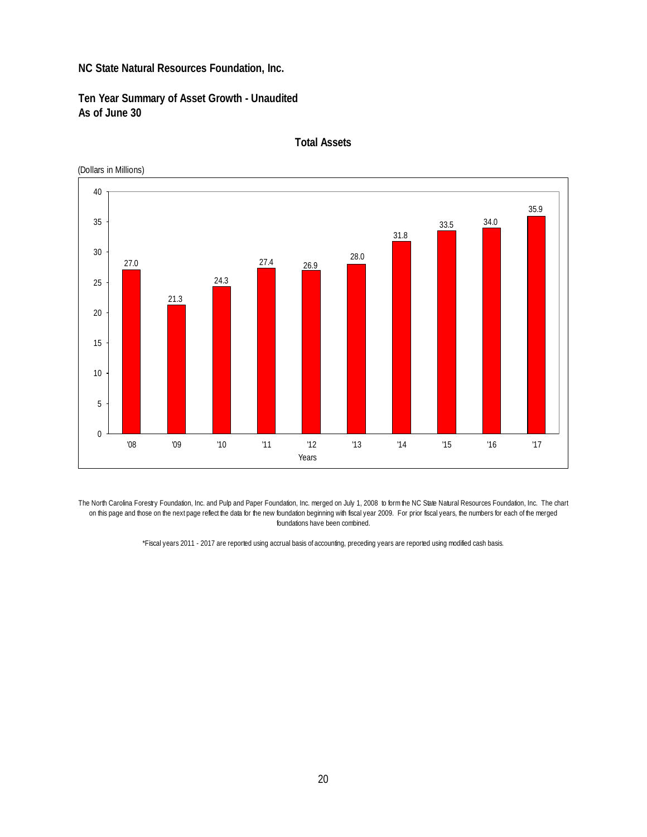**Ten Year Summary of Asset Growth - Unaudited As of June 30**



**Total Assets**

The North Carolina Forestry Foundation, Inc. and Pulp and Paper Foundation, Inc. merged on July 1, 2008 to form the NC State Natural Resources Foundation, Inc. The chart on this page and those on the next page reflect the data for the new foundation beginning with fiscal year 2009. For prior fiscal years, the numbers for each of the merged foundations have been combined.

\*Fiscal years 2011 - 2017 are reported using accrual basis of accounting, preceding years are reported using modified cash basis.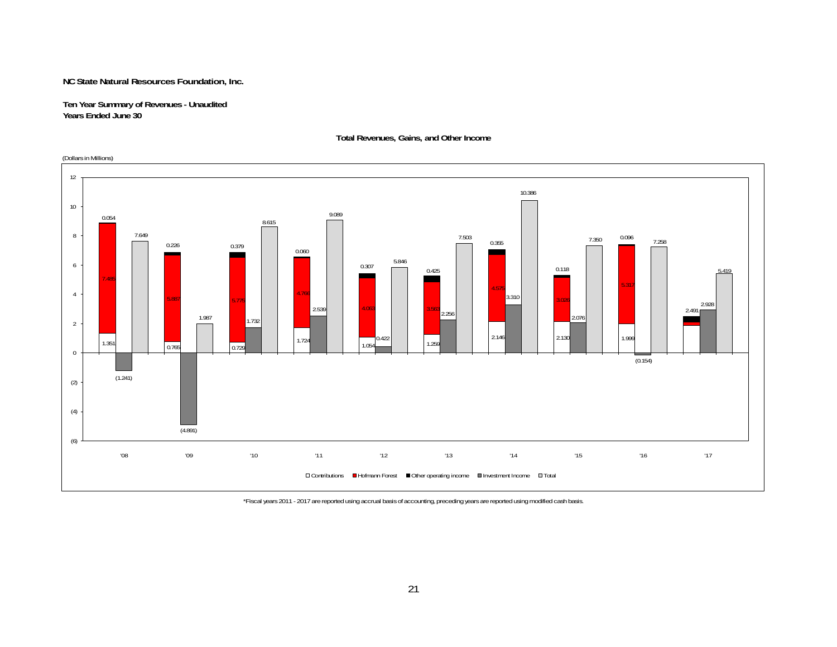**Ten Year Summary of Revenues - Unaudited Years Ended June 30**



**Total Revenues, Gains, and Other Income**

\*Fiscal years 2011 - 2017 are reported using accrual basis of accounting, preceding years are reported using modified cash basis.